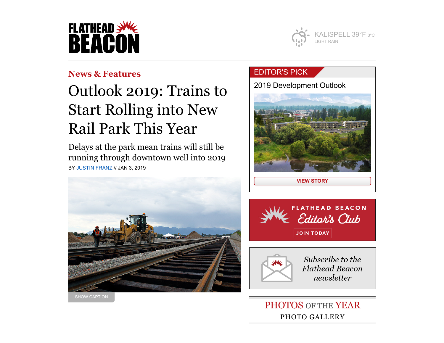



## **[News & Features](https://flatheadbeacon.com/section/news-features/)**

# Outlook 2019: Trains to Start Rolling into New Rail Park This Year

Delays at the park mean trains will still be running through downtown well into 2019 BY [JUSTIN FRANZ](https://flatheadbeacon.com/author/justinfranz/) // JAN 3, 2019



## [EDITOR'S](https://flatheadbeacon.com/2019/01/02/outlook-2019-residential-rising/) PICK

[2019 Development Outlook](https://flatheadbeacon.com/2019/01/02/outlook-2019-residential-rising/)



**[VIEW STORY](https://flatheadbeacon.com/2019/01/02/outlook-2019-residential-rising/)**





Subscribe to the **Flathead Beacon** newsletter

PHOTOS OF THE YEAR PHOTO GALLERY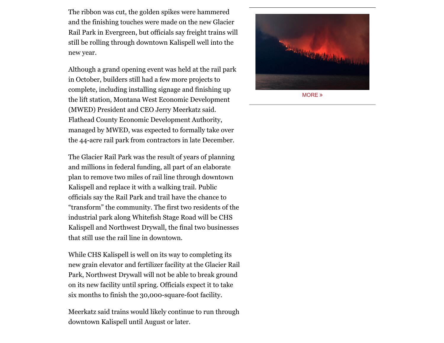The ribbon was cut, the golden spikes were hammered  $\blacksquare$ and the finishing touches were made on the new Glacier Rail Park in Evergreen, but officials say freight trains will still be rolling through downtown Kalispell well into the new year.

> Although a grand opening event was held at the rail park in October, builders still had a few more projects to complete, including installing signage and finishing up the lift station, Montana West Economic Development (MWED) President and CEO Jerry Meerkatz said. Flathead County Economic Development Authority, managed by MWED, was expected to formally take over the 44-acre rail park from contractors in late December.

The Glacier Rail Park was the result of years of planning and millions in federal funding, all part of an elaborate plan to remove two miles of rail line through downtown Kalispell and replace it with a walking trail. Public officials say the Rail Park and trail have the chance to "transform" the community. The first two residents of the industrial park along Whitefish Stage Road will be CHS Kalispell and Northwest Drywall, the final two businesses that still use the rail line in downtown.

While CHS Kalispell is well on its way to completing its new grain elevator and fertilizer facility at the Glacier Rail Park, Northwest Drywall will not be able to break ground on its new facility until spring. Officials expect it to take six months to finish the 30,000-square-foot facility.

Meerkatz said trains would likely continue to run through downtown Kalispell until August or later.



[MORE](https://flatheadbeacon.com/galleries/photos-year-2018/) »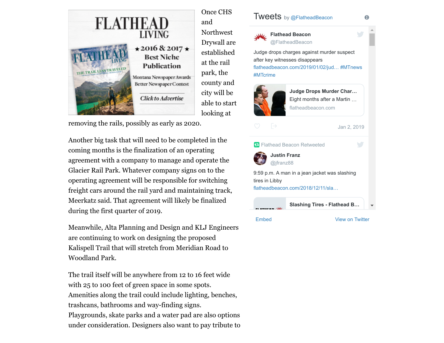

removing the rails, possibly as early as 2020.

Another big task that will need to be completed in the coming months is the finalization of an operating agreement with a company to manage and operate the Glacier Rail Park. Whatever company signs on to the operating agreement will be responsible for switching freight cars around the rail yard and maintaining track, Meerkatz said. That agreement will likely be finalized during the first quarter of 2019.

Meanwhile, Alta Planning and Design and KLJ Engineers are continuing to work on designing the proposed Kalispell Trail that will stretch from Meridian Road to Woodland Park.

The trail itself will be anywhere from 12 to 16 feet wide with 25 to 100 feet of green space in some spots. Amenities along the trail could include lighting, benches, trashcans, bathrooms and way-finding signs. Playgrounds, skate parks and a water pad are also options under consideration. Designers also want to pay tribute to

#### **Tweets** by [@FlatheadBeacon](https://twitter.com/FlatheadBeacon)



and

Northwest Drywall are established at the rail park, the county and city will be able to start looking at

Judge drops charges against murder suspect after key witnesses disappears [flatheadbeacon.com/2019/01/02/jud…](https://t.co/UhfICaek8s) [#MTnews](https://twitter.com/hashtag/MTnews?src=hash) [#MTcrime](https://twitter.com/hashtag/MTcrime?src=hash) **Flathead Beacon** [@FlatheadBeacon](https://twitter.com/FlatheadBeacon)



[Jan 2, 2019](https://twitter.com/FlatheadBeacon/status/1080568425129205761) **Judge Drops Murder Char…** [Eight months after a Martin …](https://t.co/UhfICaek8s) flatheadbeacon.com



 $\bigcap$